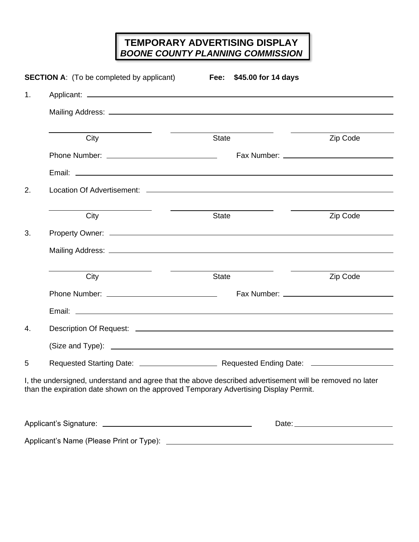## **TEMPORARY ADVERTISING DISPLAY** *BOONE COUNTY PLANNING COMMISSION*

| 1 <sub>1</sub> | <b>SECTION A:</b> (To be completed by applicant)       | Fee: \$45.00 for 14 days                                                                                                                                                                         |            |  |  |  |  |
|----------------|--------------------------------------------------------|--------------------------------------------------------------------------------------------------------------------------------------------------------------------------------------------------|------------|--|--|--|--|
|                |                                                        |                                                                                                                                                                                                  |            |  |  |  |  |
|                | City                                                   | State                                                                                                                                                                                            | Zip Code   |  |  |  |  |
|                |                                                        |                                                                                                                                                                                                  |            |  |  |  |  |
|                |                                                        |                                                                                                                                                                                                  |            |  |  |  |  |
| 2.             |                                                        |                                                                                                                                                                                                  |            |  |  |  |  |
|                | City                                                   | <b>Contract Contract Contract Contract</b><br>State                                                                                                                                              | Zip Code   |  |  |  |  |
| 3.             |                                                        |                                                                                                                                                                                                  |            |  |  |  |  |
|                |                                                        |                                                                                                                                                                                                  |            |  |  |  |  |
|                | <u> 1989 - Johann Barnett, fransk kongresu</u><br>City | <b>State</b>                                                                                                                                                                                     | Zip Code   |  |  |  |  |
|                |                                                        |                                                                                                                                                                                                  |            |  |  |  |  |
|                |                                                        |                                                                                                                                                                                                  |            |  |  |  |  |
| 4.             |                                                        |                                                                                                                                                                                                  |            |  |  |  |  |
|                |                                                        |                                                                                                                                                                                                  |            |  |  |  |  |
| 5              |                                                        |                                                                                                                                                                                                  |            |  |  |  |  |
|                |                                                        | I, the undersigned, understand and agree that the above described advertisement will be removed no later<br>than the expiration date shown on the approved Temporary Advertising Display Permit. |            |  |  |  |  |
|                |                                                        |                                                                                                                                                                                                  | Date: 2008 |  |  |  |  |
|                |                                                        |                                                                                                                                                                                                  |            |  |  |  |  |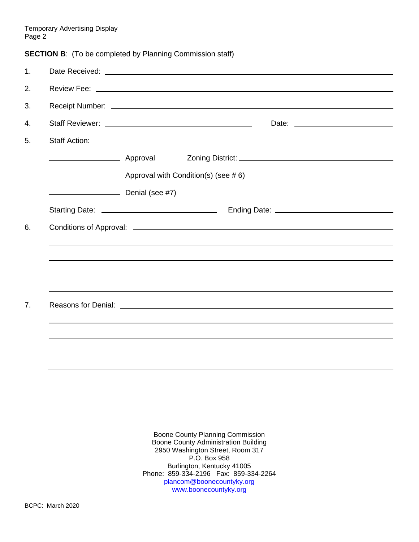Temporary Advertising Display Page 2

**SECTION B:** (To be completed by Planning Commission staff)

| 1. |                                                                                                                                                                                                                                |                                     | Date Received: National Accounts and Accounts and Accounts and Accounts and Accounts and Accounts and Accounts and Accounts and Accounts and Accounts and Accounts and Accounts and Accounts and Accounts and Accounts and Acc |  |  |  |
|----|--------------------------------------------------------------------------------------------------------------------------------------------------------------------------------------------------------------------------------|-------------------------------------|--------------------------------------------------------------------------------------------------------------------------------------------------------------------------------------------------------------------------------|--|--|--|
| 2. |                                                                                                                                                                                                                                |                                     |                                                                                                                                                                                                                                |  |  |  |
| 3. |                                                                                                                                                                                                                                |                                     |                                                                                                                                                                                                                                |  |  |  |
|    |                                                                                                                                                                                                                                |                                     |                                                                                                                                                                                                                                |  |  |  |
| 4. |                                                                                                                                                                                                                                |                                     |                                                                                                                                                                                                                                |  |  |  |
| 5. | <b>Staff Action:</b>                                                                                                                                                                                                           |                                     |                                                                                                                                                                                                                                |  |  |  |
|    |                                                                                                                                                                                                                                |                                     |                                                                                                                                                                                                                                |  |  |  |
|    |                                                                                                                                                                                                                                | Approval with Condition(s) (see #6) |                                                                                                                                                                                                                                |  |  |  |
|    | Denial (see #7)                                                                                                                                                                                                                |                                     |                                                                                                                                                                                                                                |  |  |  |
|    |                                                                                                                                                                                                                                |                                     |                                                                                                                                                                                                                                |  |  |  |
| 6. | Conditions of Approval: example and a series of the series of the series of the series of the series of the series of the series of the series of the series of the series of the series of the series of the series of the se |                                     |                                                                                                                                                                                                                                |  |  |  |
|    |                                                                                                                                                                                                                                |                                     |                                                                                                                                                                                                                                |  |  |  |
|    |                                                                                                                                                                                                                                |                                     |                                                                                                                                                                                                                                |  |  |  |
|    |                                                                                                                                                                                                                                |                                     |                                                                                                                                                                                                                                |  |  |  |
|    |                                                                                                                                                                                                                                |                                     |                                                                                                                                                                                                                                |  |  |  |
| 7. |                                                                                                                                                                                                                                |                                     |                                                                                                                                                                                                                                |  |  |  |
|    |                                                                                                                                                                                                                                |                                     |                                                                                                                                                                                                                                |  |  |  |
|    |                                                                                                                                                                                                                                |                                     |                                                                                                                                                                                                                                |  |  |  |
|    |                                                                                                                                                                                                                                |                                     |                                                                                                                                                                                                                                |  |  |  |
|    |                                                                                                                                                                                                                                |                                     |                                                                                                                                                                                                                                |  |  |  |

Boone County Planning Commission Boone County Administration Building 2950 Washington Street, Room 317 P.O. Box 958 Burlington, Kentucky 41005 Phone: 859-334-2196 Fax: 859-334-2264 [plancom@boonecountyky.org](mailto:plancom@boonecountyky.org) [www.boonecountyky.org](http://www.boonecountyky.org/)